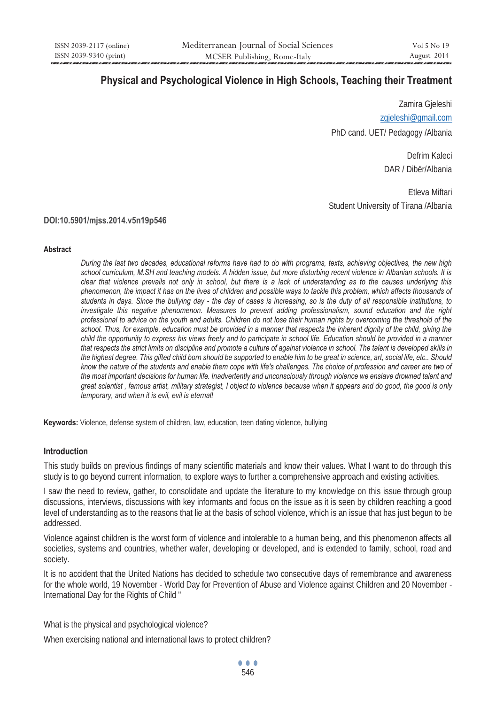# **Physical and Psychological Violence in High Schools, Teaching their Treatment**

Zamira Gjeleshi zgjeleshi@gmail.com PhD cand. UET/ Pedagogy /Albania

> Defrim Kaleci DAR / Dibër/Albania

Etleva Miftari Student University of Tirana /Albania

## **DOI:10.5901/mjss.2014.v5n19p546**

#### **Abstract**

*During the last two decades, educational reforms have had to do with programs, texts, achieving objectives, the new high school curriculum, M.SH and teaching models. A hidden issue, but more disturbing recent violence in Albanian schools. It is clear that violence prevails not only in school, but there is a lack of understanding as to the causes underlying this phenomenon, the impact it has on the lives of children and possible ways to tackle this problem, which affects thousands of students in days. Since the bullying day - the day of cases is increasing, so is the duty of all responsible institutions, to investigate this negative phenomenon. Measures to prevent adding professionalism, sound education and the right professional to advice on the youth and adults. Children do not lose their human rights by overcoming the threshold of the school. Thus, for example, education must be provided in a manner that respects the inherent dignity of the child, giving the child the opportunity to express his views freely and to participate in school life. Education should be provided in a manner that respects the strict limits on discipline and promote a culture of against violence in school. The talent is developed skills in the highest degree. This gifted child born should be supported to enable him to be great in science, art, social life, etc.. Should know the nature of the students and enable them cope with life's challenges. The choice of profession and career are two of the most important decisions for human life. Inadvertently and unconsciously through violence we enslave drowned talent and great scientist , famous artist, military strategist, I object to violence because when it appears and do good, the good is only temporary, and when it is evil, evil is eternal!* 

**Keywords:** Violence, defense system of children, law, education, teen dating violence, bullying

## **Introduction**

This study builds on previous findings of many scientific materials and know their values. What I want to do through this study is to go beyond current information, to explore ways to further a comprehensive approach and existing activities.

I saw the need to review, gather, to consolidate and update the literature to my knowledge on this issue through group discussions, interviews, discussions with key informants and focus on the issue as it is seen by children reaching a good level of understanding as to the reasons that lie at the basis of school violence, which is an issue that has just begun to be addressed.

Violence against children is the worst form of violence and intolerable to a human being, and this phenomenon affects all societies, systems and countries, whether wafer, developing or developed, and is extended to family, school, road and society.

It is no accident that the United Nations has decided to schedule two consecutive days of remembrance and awareness for the whole world, 19 November - World Day for Prevention of Abuse and Violence against Children and 20 November - International Day for the Rights of Child "

What is the physical and psychological violence?

When exercising national and international laws to protect children?

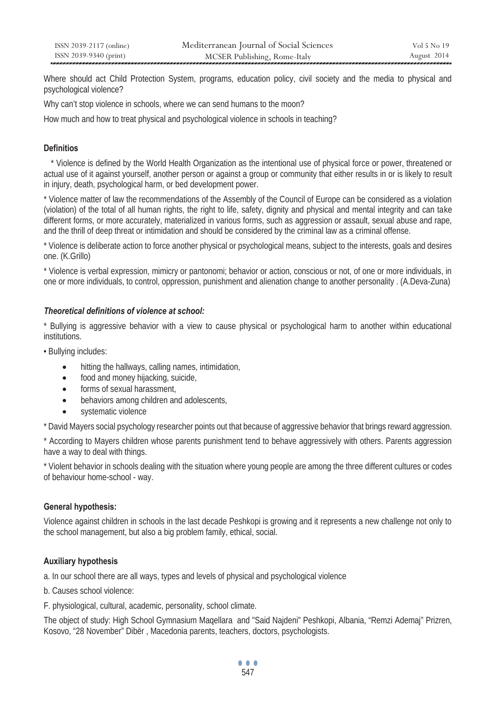Where should act Child Protection System, programs, education policy, civil society and the media to physical and psychological violence?

Why can't stop violence in schools, where we can send humans to the moon?

How much and how to treat physical and psychological violence in schools in teaching?

## **Definitios**

 \* Violence is defined by the World Health Organization as the intentional use of physical force or power, threatened or actual use of it against yourself, another person or against a group or community that either results in or is likely to result in injury, death, psychological harm, or bed development power.

\* Violence matter of law the recommendations of the Assembly of the Council of Europe can be considered as a violation (violation) of the total of all human rights, the right to life, safety, dignity and physical and mental integrity and can take different forms, or more accurately, materialized in various forms, such as aggression or assault, sexual abuse and rape, and the thrill of deep threat or intimidation and should be considered by the criminal law as a criminal offense.

\* Violence is deliberate action to force another physical or psychological means, subject to the interests, goals and desires one. (K.Grillo)

\* Violence is verbal expression, mimicry or pantonomi; behavior or action, conscious or not, of one or more individuals, in one or more individuals, to control, oppression, punishment and alienation change to another personality . (A.Deva-Zuna)

## *Theoretical definitions of violence at school:*

Bullying is aggressive behavior with a view to cause physical or psychological harm to another within educational institutions.

• Bullying includes:

- hitting the hallways, calling names, intimidation,
- food and money hijacking, suicide,
- forms of sexual harassment,
- behaviors among children and adolescents,
- systematic violence

\* David Mayers social psychology researcher points out that because of aggressive behavior that brings reward aggression.

\* According to Mayers children whose parents punishment tend to behave aggressively with others. Parents aggression have a way to deal with things.

\* Violent behavior in schools dealing with the situation where young people are among the three different cultures or codes of behaviour home-school - way.

## **General hypothesis:**

Violence against children in schools in the last decade Peshkopi is growing and it represents a new challenge not only to the school management, but also a big problem family, ethical, social.

## **Auxiliary hypothesis**

a. In our school there are all ways, types and levels of physical and psychological violence

- b. Causes school violence:
- F. physiological, cultural, academic, personality, school climate.

The object of study: High School Gymnasium Maqellara and "Said Najdeni" Peshkopi, Albania, "Remzi Ademaj" Prizren, Kosovo, "28 November" Dibër , Macedonia parents, teachers, doctors, psychologists.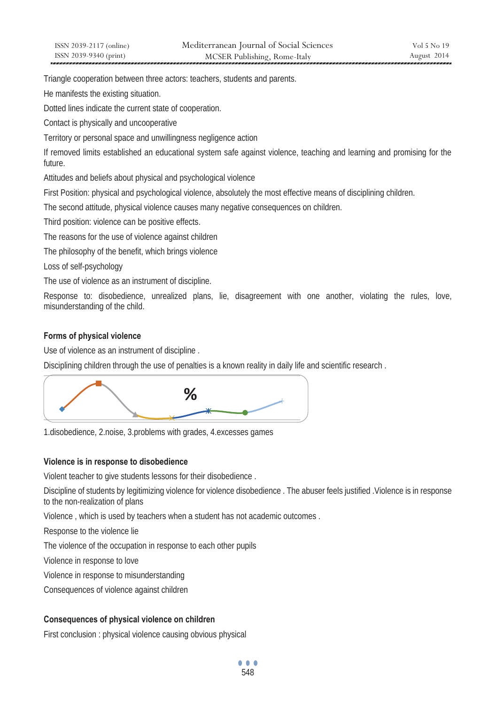Triangle cooperation between three actors: teachers, students and parents.

He manifests the existing situation.

Dotted lines indicate the current state of cooperation.

Contact is physically and uncooperative

Territory or personal space and unwillingness negligence action

If removed limits established an educational system safe against violence, teaching and learning and promising for the future.

Attitudes and beliefs about physical and psychological violence

First Position: physical and psychological violence, absolutely the most effective means of disciplining children.

The second attitude, physical violence causes many negative consequences on children.

Third position: violence can be positive effects.

The reasons for the use of violence against children

The philosophy of the benefit, which brings violence

Loss of self-psychology

The use of violence as an instrument of discipline.

Response to: disobedience, unrealized plans, lie, disagreement with one another, violating the rules, love, misunderstanding of the child.

# **Forms of physical violence**

Use of violence as an instrument of discipline .

Disciplining children through the use of penalties is a known reality in daily life and scientific research .



1.disobedience, 2.noise, 3.problems with grades, 4.excesses games

# **Violence is in response to disobedience**

Violent teacher to give students lessons for their disobedience .

Discipline of students by legitimizing violence for violence disobedience . The abuser feels justified .Violence is in response to the non-realization of plans

Violence , which is used by teachers when a student has not academic outcomes .

Response to the violence lie

The violence of the occupation in response to each other pupils

Violence in response to love

Violence in response to misunderstanding

Consequences of violence against children

# **Consequences of physical violence on children**

First conclusion : physical violence causing obvious physical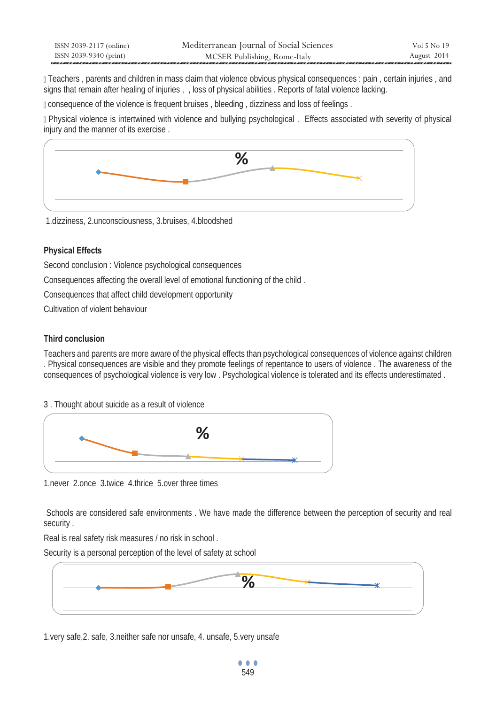| ISSN 2039-2117 (online) | Mediterranean Journal of Social Sciences | Vol 5 No 19 |
|-------------------------|------------------------------------------|-------------|
| ISSN 2039-9340 (print)  | MCSER Publishing, Rome-Italy             | August 2014 |

 Teachers , parents and children in mass claim that violence obvious physical consequences : pain , certain injuries , and signs that remain after healing of injuries , , loss of physical abilities . Reports of fatal violence lacking.

consequence of the violence is frequent bruises , bleeding , dizziness and loss of feelings .

 Physical violence is intertwined with violence and bullying psychological . Effects associated with severity of physical injury and the manner of its exercise .



1.dizziness, 2.unconsciousness, 3.bruises, 4.bloodshed

## **Physical Effects**

Second conclusion : Violence psychological consequences

Consequences affecting the overall level of emotional functioning of the child .

Consequences that affect child development opportunity

Cultivation of violent behaviour

## **Third conclusion**

Teachers and parents are more aware of the physical effects than psychological consequences of violence against children . Physical consequences are visible and they promote feelings of repentance to users of violence . The awareness of the consequences of psychological violence is very low . Psychological violence is tolerated and its effects underestimated .

3 . Thought about suicide as a result of violence



1.never 2.once 3.twice 4.thrice 5.over three times

 Schools are considered safe environments . We have made the difference between the perception of security and real security .

Real is real safety risk measures / no risk in school .

Security is a personal perception of the level of safety at school



1.very safe,2. safe, 3.neither safe nor unsafe, 4. unsafe, 5.very unsafe

... 549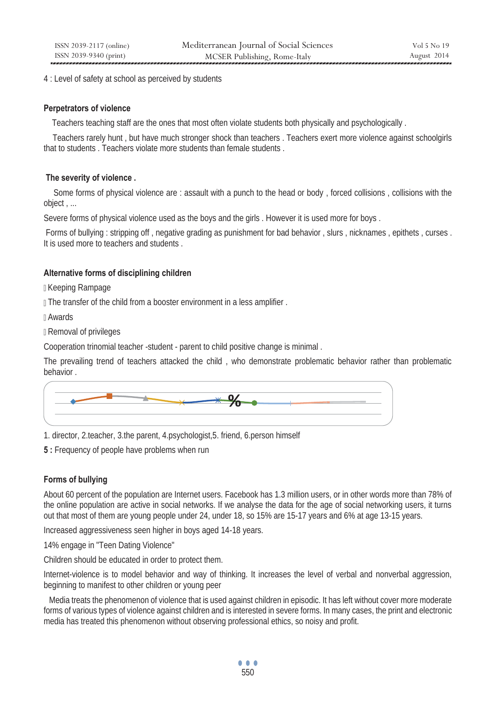4 : Level of safety at school as perceived by students

## **Perpetrators of violence**

Teachers teaching staff are the ones that most often violate students both physically and psychologically .

 Teachers rarely hunt , but have much stronger shock than teachers . Teachers exert more violence against schoolgirls that to students . Teachers violate more students than female students .

## **The severity of violence .**

 Some forms of physical violence are : assault with a punch to the head or body , forced collisions , collisions with the object , ...

Severe forms of physical violence used as the boys and the girls . However it is used more for boys .

Forms of bullying : stripping off , negative grading as punishment for bad behavior , slurs , nicknames , epithets , curses . It is used more to teachers and students .

# **Alternative forms of disciplining children**

Keeping Rampage

**The transfer of the child from a booster environment in a less amplifier.** 

Awards

Removal of privileges

Cooperation trinomial teacher -student - parent to child positive change is minimal .

The prevailing trend of teachers attacked the child , who demonstrate problematic behavior rather than problematic behavior .



1. director, 2.teacher, 3.the parent, 4.psychologist,5. friend, 6.person himself

**5** : Frequency of people have problems when run

# **Forms of bullying**

About 60 percent of the population are Internet users. Facebook has 1.3 million users, or in other words more than 78% of the online population are active in social networks. If we analyse the data for the age of social networking users, it turns out that most of them are young people under 24, under 18, so 15% are 15-17 years and 6% at age 13-15 years.

Increased aggressiveness seen higher in boys aged 14-18 years.

14% engage in "Teen Dating Violence"

Children should be educated in order to protect them.

Internet-violence is to model behavior and way of thinking. It increases the level of verbal and nonverbal aggression, beginning to manifest to other children or young peer

 Media treats the phenomenon of violence that is used against children in episodic. It has left without cover more moderate forms of various types of violence against children and is interested in severe forms. In many cases, the print and electronic media has treated this phenomenon without observing professional ethics, so noisy and profit.

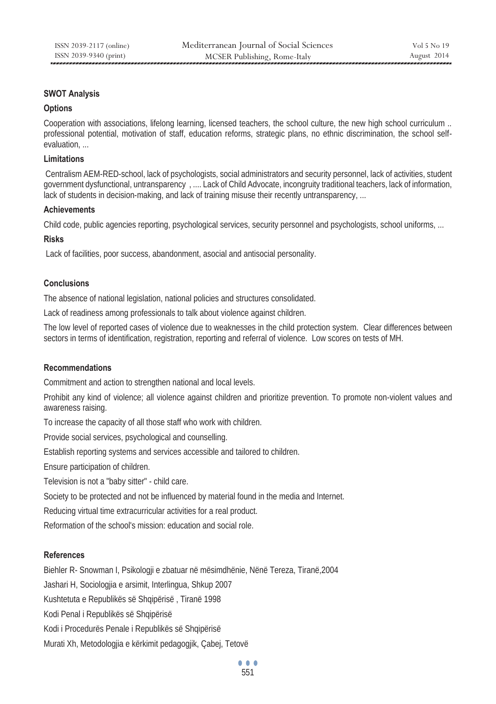## **SWOT Analysis**

#### **Options**

Cooperation with associations, lifelong learning, licensed teachers, the school culture, the new high school curriculum .. professional potential, motivation of staff, education reforms, strategic plans, no ethnic discrimination, the school selfevaluation, ...

#### **Limitations**

 Centralism AEM-RED-school, lack of psychologists, social administrators and security personnel, lack of activities, student government dysfunctional, untransparency , .... Lack of Child Advocate, incongruity traditional teachers, lack of information, lack of students in decision-making, and lack of training misuse their recently untransparency, ...

#### **Achievements**

Child code, public agencies reporting, psychological services, security personnel and psychologists, school uniforms, ...

#### **Risks**

Lack of facilities, poor success, abandonment, asocial and antisocial personality.

## **Conclusions**

The absence of national legislation, national policies and structures consolidated.

Lack of readiness among professionals to talk about violence against children.

The low level of reported cases of violence due to weaknesses in the child protection system. Clear differences between sectors in terms of identification, registration, reporting and referral of violence. Low scores on tests of MH.

## **Recommendations**

Commitment and action to strengthen national and local levels.

Prohibit any kind of violence; all violence against children and prioritize prevention. To promote non-violent values and awareness raising.

To increase the capacity of all those staff who work with children.

Provide social services, psychological and counselling.

Establish reporting systems and services accessible and tailored to children.

Ensure participation of children.

Television is not a "baby sitter" - child care.

Society to be protected and not be influenced by material found in the media and Internet.

Reducing virtual time extracurricular activities for a real product.

Reformation of the school's mission: education and social role.

## **References**

Biehler R- Snowman I, Psikologji e zbatuar në mësimdhënie, Nënë Tereza, Tiranë,2004

Jashari H, Sociologjia e arsimit, Interlingua, Shkup 2007

Kushtetuta e Republikës së Shqipërisë , Tiranë 1998

Kodi Penal i Republikës së Shqipërisë

Kodi i Procedurës Penale i Republikës së Shqipërisë

Murati Xh, Metodologjia e kërkimit pedagogjik, Çabej, Tetovë